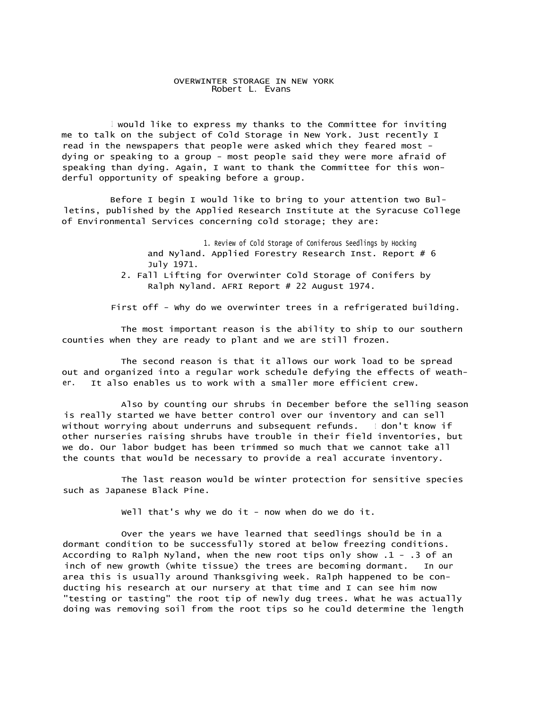## OVERWINTER STORAGE IN NEW YORK Robert L. Evans

1 would like to express my thanks to the Committee for inviting me to talk on the subject of Cold Storage in New York. Just recently I read in the newspapers that people were asked which they feared most dying or speaking to a group - most people said they were more afraid of speaking than dying. Again, I want to thank the Committee for this wonderful opportunity of speaking before a group.

Before I begin I would like to bring to your attention two Bulletins, published by the Applied Research Institute at the Syracuse College of Environmental Services concerning cold storage; they are:

> 1. Review of Cold Storage of Coniferous Seedlings by Hocking and Nyland. Applied Forestry Research Inst. Report # 6 July 1971.

2. Fall Lifting for Overwinter Cold Storage of Conifers by Ralph Nyland. AFRI Report # 22 August 1974.

First off - Why do we overwinter trees in a refrigerated building.

The most important reason is the ability to ship to our southern counties when they are ready to plant and we are still frozen.

The second reason is that it allows our work load to be spread out and organized into a regular work schedule defying the effects of weather. It also enables us to work with a smaller more efficient crew.

Also by counting our shrubs in December before the selling season is really started we have better control over our inventory and can sell without worrying about underruns and subsequent refunds. I don't know if other nurseries raising shrubs have trouble in their field inventories, but we do. Our labor budget has been trimmed so much that we cannot take all the counts that would be necessary to provide a real accurate inventory.

The last reason would be winter protection for sensitive species such as Japanese Black Pine.

Well that's why we do it - now when do we do it.

Over the years we have learned that seedlings should be in a dormant condition to be successfully stored at below freezing conditions. According to Ralph Nyland, when the new root tips only show .1 - .3 of an inch of new growth (white tissue) the trees are becoming dormant. In our area this is usually around Thanksgiving week. Ralph happened to be conducting his research at our nursery at that time and I can see him now "testing or tasting" the root tip of newly dug trees. What he was actually doing was removing soil from the root tips so he could determine the length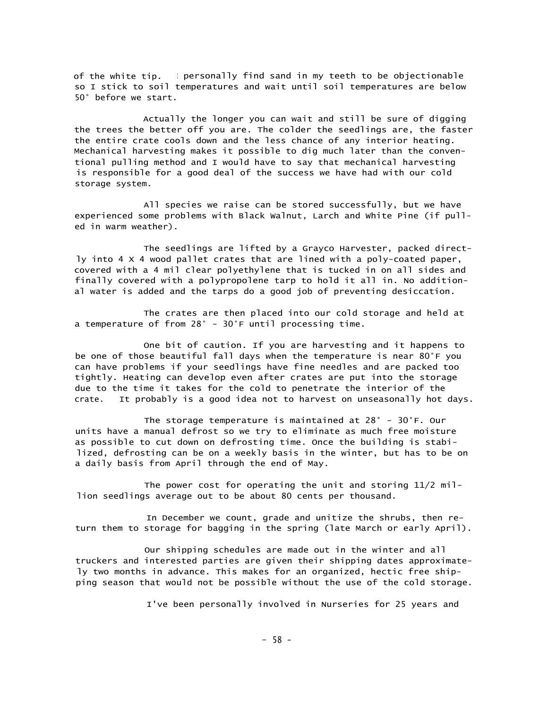of the white tip. I personally find sand in my teeth to be objectionable so I stick to soil temperatures and wait until soil temperatures are below 50° before we start.

Actually the longer you can wait and still be sure of digging the trees the better off you are. The colder the seedlings are, the faster the entire crate cools down and the less chance of any interior heating. Mechanical harvesting makes it possible to dig much later than the conventional pulling method and I would have to say that mechanical harvesting is responsible for a good deal of the success we have had with our cold storage system.

All species we raise can be stored successfully, but we have experienced some problems with Black Walnut, Larch and White Pine (if pulled in warm weather).

The seedlings are lifted by a Grayco Harvester, packed directly into 4 X 4 wood pallet crates that are lined with a poly-coated paper, covered with a 4 mil clear polyethylene that is tucked in on all sides and finally covered with a polypropolene tarp to hold it all in. No additional water is added and the tarps do a good job of preventing desiccation.

The crates are then placed into our cold storage and held at a temperature of from 28° - 30°F until processing time.

One bit of caution. If you are harvesting and it happens to be one of those beautiful fall days when the temperature is near 80°F you can have problems if your seedlings have fine needles and are packed too tightly. Heating can develop even after crates are put into the storage due to the time it takes for the cold to penetrate the interior of the crate. It probably is a good idea not to harvest on unseasonally hot days.

The storage temperature is maintained at 28° - 30°F. Our units have a manual defrost so we try to eliminate as much free moisture as possible to cut down on defrosting time. Once the building is stabilized, defrosting can be on a weekly basis in the winter, but has to be on a daily basis from April through the end of May.

The power cost for operating the unit and storing 11/2 million seedlings average out to be about 80 cents per thousand.

In December we count, grade and unitize the shrubs, then return them to storage for bagging in the spring (late March or early April).

Our shipping schedules are made out in the winter and all truckers and interested parties are given their shipping dates approximately two months in advance. This makes for an organized, hectic free shipping season that would not be possible without the use of the cold storage.

I've been personally involved in Nurseries for 25 years and